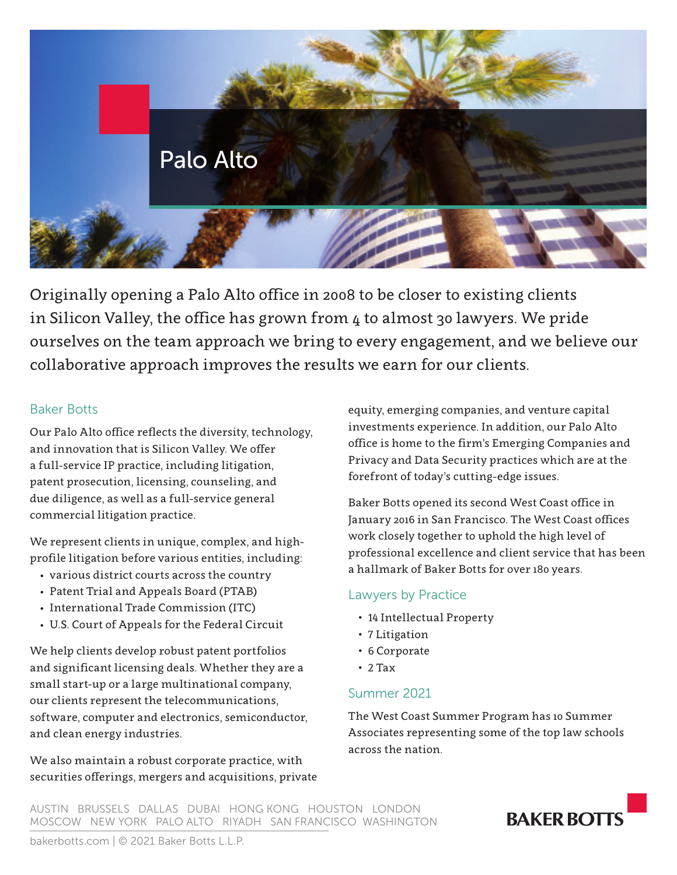

Originally opening a Palo Alto office in 2008 to be closer to existing clients in Silicon Valley, the office has grown from 4 to almost 30 lawyers. We pride ourselves on the team approach we bring to every engagement, and we believe our collaborative approach improves the results we earn for our clients.

### Baker Botts

Our Palo Alto office reflects the diversity, technology, and innovation that is Silicon Valley. We offer a full-service IP practice, including litigation, patent prosecution, licensing, counseling, and due diligence, as well as a full-service general commercial litigation practice.

We represent clients in unique, complex, and highprofile litigation before various entities, including:

- various district courts across the country
- Patent Trial and Appeals Board (PTAB)
- International Trade Commission (ITC)
- U.S. Court of Appeals for the Federal Circuit

We help clients develop robust patent portfolios and significant licensing deals. Whether they are a small start-up or a large multinational company, our clients represent the telecommunications, software, computer and electronics, semiconductor, and clean energy industries.

We also maintain a robust corporate practice, with securities offerings, mergers and acquisitions, private equity, emerging companies, and venture capital investments experience. In addition, our Palo Alto office is home to the firm's Emerging Companies and Privacy and Data Security practices which are at the forefront of today's cutting-edge issues.

Baker Botts opened its second West Coast office in January 2016 in San Francisco. The West Coast offices work closely together to uphold the high level of professional excellence and client service that has been a hallmark of Baker Botts for over 180 years.

## Lawyers by Practice

- 14 Intellectual Property
- 7 Litigation
- 6 Corporate
- $\cdot$  2 Tax

## Summer 2021

The West Coast Summer Program has 10 Summer Associates representing some of the top law schools across the nation.

AUSTIN BRUSSELS DALLAS DUBAI HONG KONG HOUSTON LONDON MOSCOW NEW YORK PALO ALTO RIYADH SAN FRANCISCO WASHINGTON